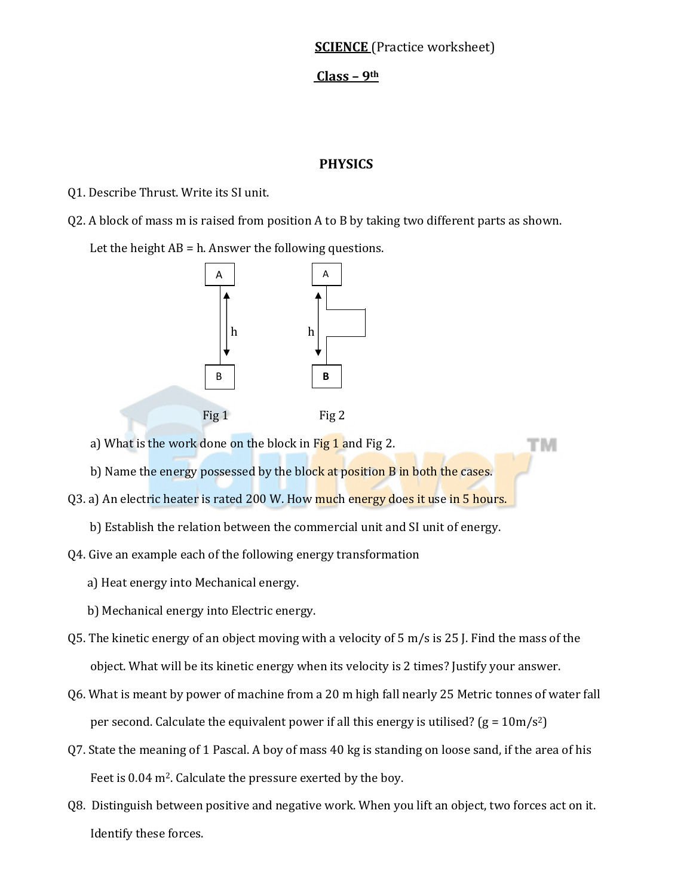# **SCIENCE** (Practice worksheet)

TМ

#### **Class – 9th**

### **PHYSICS**

Q1. Describe Thrust. Write its SI unit.

Q2. A block of mass m is raised from position A to B by taking two different parts as shown.

Let the height  $AB = h$ . Answer the following questions.



a) What is the work done on the block in Fig 1 and Fig 2.

b) Name the energy possessed by the block at position B in both the cases.

- Q3. a) An electric heater is rated 200 W. How much energy does it use in 5 hours.
	- b) Establish the relation between the commercial unit and SI unit of energy.
- Q4. Give an example each of the following energy transformation
	- a) Heat energy into Mechanical energy.
	- b) Mechanical energy into Electric energy.
- Q5. The kinetic energy of an object moving with a velocity of 5 m/s is 25 J. Find the mass of the object. What will be its kinetic energy when its velocity is 2 times? Justify your answer.
- Q6. What is meant by power of machine from a 20 m high fall nearly 25 Metric tonnes of water fall per second. Calculate the equivalent power if all this energy is utilised?  $(g = 10m/s<sup>2</sup>)$
- Q7. State the meaning of 1 Pascal. A boy of mass 40 kg is standing on loose sand, if the area of his Feet is 0.04 m<sup>2</sup>. Calculate the pressure exerted by the boy.
- Q8. Distinguish between positive and negative work. When you lift an object, two forces act on it. Identify these forces.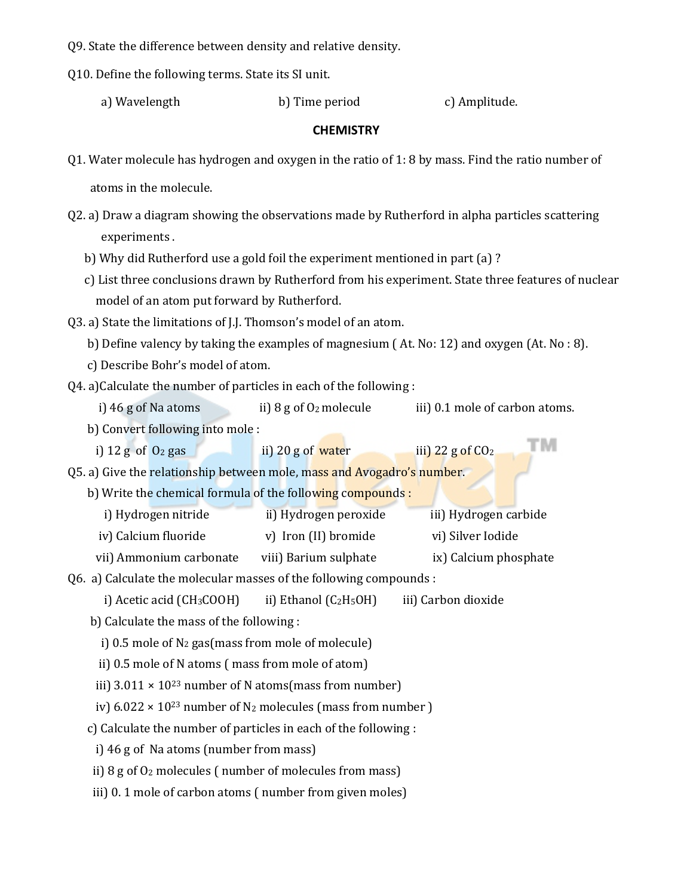Q9. State the difference between density and relative density.

Q10. Define the following terms. State its SI unit.

 a) Wavelength b) Time period c) Amplitude. 

тм

### **CHEMISTRY**

Q1. Water molecule has hydrogen and oxygen in the ratio of 1: 8 by mass. Find the ratio number of

atoms in the molecule.

Q2. a) Draw a diagram showing the observations made by Rutherford in alpha particles scattering experiments.

b) Why did Rutherford use a gold foil the experiment mentioned in part (a)?

c) List three conclusions drawn by Rutherford from his experiment. State three features of nuclear model of an atom put forward by Rutherford.

Q3. a) State the limitations of J.J. Thomson's model of an atom.

b) Define valency by taking the examples of magnesium  $(At, No: 12)$  and oxygen  $(At, No: 8)$ .

c) Describe Bohr's model of atom.

 $Q4. a)$ Calculate the number of particles in each of the following :

i)  $46$  g of Na atoms ii)  $8$  g of  $0_2$  molecule iii)  $0.1$  mole of carbon atoms.

b) Convert following into mole :

i)  $12 \text{ g of } 0_2 \text{ gas}$  ii)  $20 \text{ g of } \text{water}$  iii)  $22 \text{ g of } CO_2$ 

Q5. a) Give the relationship between mole, mass and Avogadro's number.

b) Write the chemical formula of the following compounds :

i) Hydrogen nitride ii) Hydrogen peroxide iii) Hydrogen carbide iv) Calcium fluoride v) Iron (II) bromide vi) Silver Iodide 

vii) Ammonium carbonate viii) Barium sulphate ix) Calcium phosphate

Q6. a) Calculate the molecular masses of the following compounds :

i) Acetic acid (CH<sub>3</sub>COOH) ii) Ethanol (C<sub>2</sub>H<sub>5</sub>OH) iii) Carbon dioxide

b) Calculate the mass of the following :

i)  $0.5$  mole of  $N_2$  gas(mass from mole of molecule)

ii) 0.5 mole of N atoms (mass from mole of atom)

iii)  $3.011 \times 10^{23}$  number of N atoms(mass from number)

iv)  $6.022 \times 10^{23}$  number of N<sub>2</sub> molecules (mass from number )

c) Calculate the number of particles in each of the following :

i)  $46$  g of Na atoms (number from mass)

ii)  $8$  g of  $0_2$  molecules ( number of molecules from mass)

iii) 0. 1 mole of carbon atoms ( number from given moles)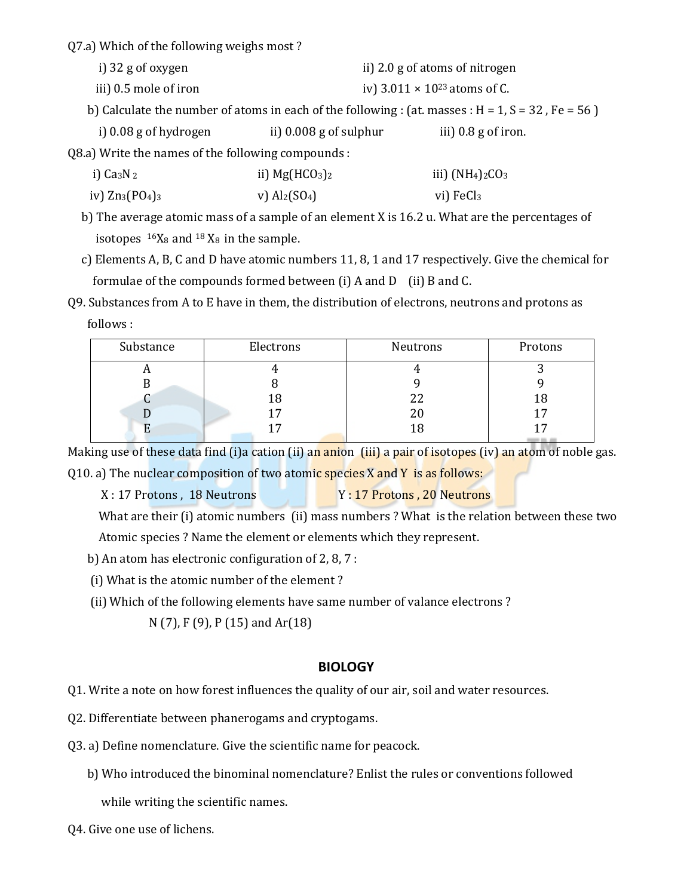Q7.a) Which of the following weighs most?

- i) 32 g of oxygen ii) 2.0 g of atoms of nitrogen
- iii)  $0.5$  mole of iron  $\qquad$   $\qquad$   $\qquad$   $\qquad$   $\qquad$   $\qquad$   $\qquad$   $\qquad$   $\qquad$   $\qquad$   $\qquad$   $\qquad$   $\qquad$   $\qquad$   $\qquad$   $\qquad$   $\qquad$   $\qquad$   $\qquad$   $\qquad$   $\qquad$   $\qquad$   $\qquad$   $\qquad$   $\qquad$   $\qquad$   $\qquad$   $\qquad$   $\qquad$   $\qquad$   $\qquad$   $\qquad$   $\qquad$
- b) Calculate the number of atoms in each of the following : (at. masses :  $H = 1$ ,  $S = 32$ ,  $Fe = 56$ )
- i)  $0.08 \text{ g}$  of hydrogen ii)  $0.008 \text{ g}$  of sulphur iii)  $0.8 \text{ g}$  of iron.

Q8.a) Write the names of the following compounds :

| i) $Ca_3N_2$                     | ii) $Mg(HCO3)2$               | iii) $(NH4)2CO3$      |
|----------------------------------|-------------------------------|-----------------------|
| iv) $\text{Zn}_3(\text{PO}_4)_3$ | v) $\text{Al}_2(\text{SO}_4)$ | vi) FeCl <sub>3</sub> |

- b) The average atomic mass of a sample of an element X is  $16.2$  u. What are the percentages of isotopes  $16X_8$  and  $18X_8$  in the sample.
- c) Elements A, B, C and D have atomic numbers 11, 8, 1 and 17 respectively. Give the chemical for formulae of the compounds formed between  $(i)$  A and D  $(i)$  B and C.
- Q9. Substances from A to E have in them, the distribution of electrons, neutrons and protons as follows :

| Substance | Electrons | Neutrons | Protons                     |
|-----------|-----------|----------|-----------------------------|
| л         |           |          |                             |
|           |           |          |                             |
|           | I 8       | 22       | 18                          |
|           | 17        | 20       |                             |
|           |           | ں ہ      | and the control of the con- |

Making use of these data find (i)a cation (ii) an anion (iii) a pair of isotopes (iv) an atom of noble gas.

Q10. a) The nuclear composition of two atomic species  $X$  and  $Y$  is as follows:

 X : 17 Protons , 18 Neutrons Y : 17 Protons , 20 Neutrons 

What are their (i) atomic numbers (ii) mass numbers ? What is the relation between these two Atomic species? Name the element or elements which they represent.

- b) An atom has electronic configuration of  $2, 8, 7$ :
- (i) What is the atomic number of the element?
- (ii) Which of the following elements have same number of valance electrons?
	- N (7), F (9), P (15) and Ar(18)

## **BIOLOGY**

Q1. Write a note on how forest influences the quality of our air, soil and water resources.

- Q2. Differentiate between phanerogams and cryptogams.
- Q3. a) Define nomenclature. Give the scientific name for peacock.
	- b) Who introduced the binominal nomenclature? Enlist the rules or conventions followed

while writing the scientific names.

Q4. Give one use of lichens.